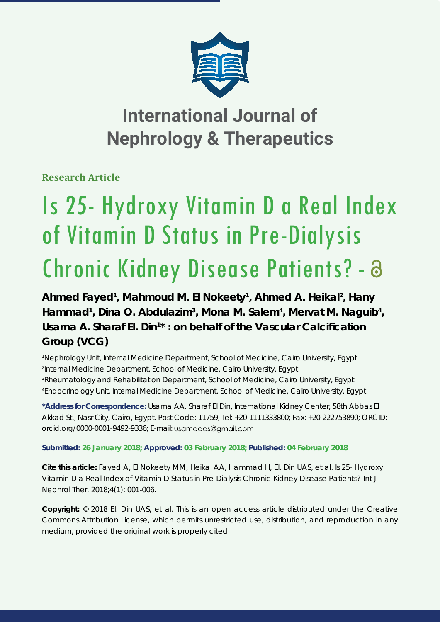

## **International Journal of Nephrology & Therapeutics**

**Research Article**

# Is 25- Hydroxy Vitamin D a Real Index of Vitamin D Status in Pre-Dialysis Chronic Kidney Disease Patients? -

Ahmed Fayed<sup>1</sup>, Mahmoud M. El Nokeety<sup>1</sup>, Ahmed A. Heikal<sup>2</sup>, Hany Hammad<sup>1</sup>, Dina O. Abdulazim<sup>3</sup>, Mona M. Salem<sup>4</sup>, Mervat M. Naguib<sup>4</sup>, Usama A. Sharaf El. Din<sup>1\*</sup>: on behalf of the Vascular Calcification **Group (VCG)**

 *Nephrology Unit, Internal Medicine Department, School of Medicine, Cairo University, Egypt Internal Medicine Department, School of Medicine, Cairo University, Egypt Rheumatology and Rehabilitation Department, School of Medicine, Cairo University, Egypt Endocrinology Unit, Internal Medicine Department, School of Medicine, Cairo University, Egypt* 

**\*Address for Correspondence:** Usama AA. Sharaf El Din, International Kidney Center, 58th Abbas El Akkad St., Nasr City, Cairo, Egypt. Post Code: 11759, Tel: +20-1111333800; Fax: +20-222753890; ORCID: orcid.org/0000-0001-9492-9336; E-mail:

**Submitted: 26 January 2018; Approved: 03 February 2018; Published: 04 February 2018**

**Cite this article:** Fayed A, El Nokeety MM, Heikal AA, Hammad H, El. Din UAS, et al. *Is 25- Hydroxy Vitamin D a Real Index of Vitamin D Status in Pre-Dialysis Chronic Kidney Disease Patients?* Int J Nephrol Ther. 2018;4(1): 001-006.

**Copyright:** © 2018 El. Din UAS, et al. This is an open access article distributed under the Creative Commons Attribution License, which permits unrestricted use, distribution, and reproduction in any medium, provided the original work is properly cited.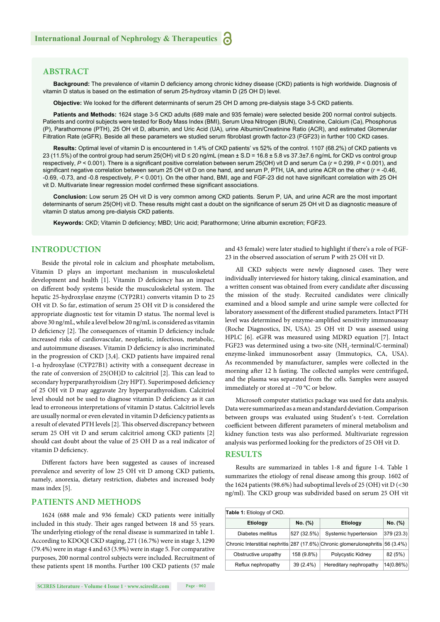## **ABSTRACT**

Background: The prevalence of vitamin D deficiency among chronic kidney disease (CKD) patients is high worldwide. Diagnosis of vitamin D status is based on the estimation of serum 25-hydroxy vitamin D (25 OH D) level.

**Objective:** We looked for the different determinants of serum 25 OH D among pre-dialysis stage 3-5 CKD patients.

**Patients and Methods:** 1624 stage 3-5 CKD adults (689 male and 935 female) were selected beside 200 normal control subjects. Patients and control subjects were tested for Body Mass Index (BMI), Serum Urea Nitrogen (BUN), Creatinine, Calcium (Ca), Phosphorus (P), Parathormone (PTH), 25 OH vit D, albumin, and Uric Acid (UA), urine Albumin/Creatinine Ratio (ACR), and estimated Glomerular Filtration Rate (eGFR). Beside all these parameters we studied serum fibroblast growth factor-23 (FGF23) in further 100 CKD cases.

**Results:** Optimal level of vitamin D is encountered in 1.4% of CKD patients' vs 52% of the control. 1107 (68.2%) of CKD patients vs 23 (11.5%) of the control group had serum 25(OH) vit D ≤ 20 ng/mL (mean ± S.D = 16.8 ± 5.8 vs 37.3±7.6 ng/mL for CKD vs control group respectively,  $P < 0.001$ ). There is a significant positive correlation between serum 25(OH) vit D and serum Ca ( $r = 0.299$ ,  $P < 0.001$ ), and significant negative correlation between serum 25 OH vit D on one hand, and serum P, PTH, UA, and urine ACR on the other ( $r = -0.46$ , -0.69, -0.73, and -0.8 respectively,  $P < 0.001$ ). On the other hand, BMI, age and FGF-23 did not have significant correlation with 25 OH vit D. Multivariate linear regression model confirmed these significant associations.

**Conclusion:** Low serum 25 OH vit D is very common among CKD patients. Serum P, UA, and urine ACR are the most important determinants of serum 25(OH) vit D. These results might cast a doubt on the significance of serum 25 OH vit D as diagnostic measure of vitamin D status among pre-dialysis CKD patients.

Keywords: CKD; Vitamin D deficiency; MBD; Uric acid; Parathormone; Urine albumin excretion; FGF23.

## **INTRODUCTION**

Beside the pivotal role in calcium and phosphate metabolism, Vitamin D plays an important mechanism in musculoskeletal development and health [1]. Vitamin D deficiency has an impact on different body systems beside the musculoskeletal system. The hepatic 25-hydroxylase enzyme (CYP2R1) converts vitamin D to 25 OH vit D. So far, estimation of serum 25 OH vit D is considered the appropriate diagnostic test for vitamin D status. The normal level is above 30 ng/mL, while a level below 20 ng/mL is considered as vitamin D deficiency [2]. The consequences of vitamin D deficiency include increased risks of cardiovascular, neoplastic, infectious, metabolic, and autoimmune diseases. Vitamin D deficiency is also incriminated in the progression of CKD [3,4]. CKD patients have impaired renal 1-α hydroxylase (CYP27B1) activity with a consequent decrease in the rate of conversion of  $25(OH)D$  to calcitriol [2]. This can lead to secondary hyperparathyroidism (2ry HPT). Superimposed deficiency of 25 OH vit D may aggravate 2ry hyperparathyroidism. Calcitriol level should not be used to diagnose vitamin D deficiency as it can lead to erroneous interpretations of vitamin D status. Calcitriol levels are usually normal or even elevated in vitamin D deficiency patients as a result of elevated PTH levels [2]. This observed discrepancy between serum 25 OH vit D and serum calcitriol among CKD patients [2] should cast doubt about the value of 25 OH D as a real indicator of vitamin D deficiency.

Different factors have been suggested as causes of increased prevalence and severity of low 25 OH vit D among CKD patients, namely, anorexia, dietary restriction, diabetes and increased body mass index [5].

## **PATIENTS AND METHODS**

1624 (688 male and 936 female) CKD patients were initially included in this study. Their ages ranged between 18 and 55 years. The underlying etiology of the renal disease is summarized in table 1. According to KDOQI CKD staging, 271 (16.7%) were in stage 3, 1290 (79.4%) were in stage 4 and 63 (3.9%) were in stage 5. For comparative purposes, 200 normal control subjects were included. Recruitment of these patients spent 18 months. Further 100 CKD patients (57 male

and 43 female) were later studied to highlight if there's a role of FGF-23 in the observed association of serum P with 25 OH vit D.

All CKD subjects were newly diagnosed cases. They were individually interviewed for history taking, clinical examination, and a written consent was obtained from every candidate after discussing the mission of the study. Recruited candidates were clinically examined and a blood sample and urine sample were collected for laboratory assessment of the different studied parameters. Intact PTH level was determined by enzyme-amplified sensitivity immunoassay (Roche Diagnostics, IN, USA). 25 OH vit D was assessed using HPLC [6]. eGFR was measured using MDRD equation [7]. Intact FGF23 was determined using a two-site  $(NH<sub>2</sub>$ -terminal/C-terminal) enzyme-linked immunosorbent assay (Immutopics, CA, USA). As recommended by manufacturer, samples were collected in the morning after 12 h fasting. The collected samples were centrifuged, and the plasma was separated from the cells. Samples were assayed immediately or stored at −70 °C or below.

Microsoft computer statistics package was used for data analysis. Data were summarized as a mean and standard deviation. Comparison between groups was evaluated using Student's t-test. Correlation coefficient between different parameters of mineral metabolism and kidney function tests was also performed. Multivariate regression analysis was performed looking for the predictors of 25 OH vit D.

### **RESULTS**

Results are summarized in tables 1-8 and figure 1-4. Table 1 summarizes the etiology of renal disease among this group. 1602 of the 1624 patients (98.6%) had suboptimal levels of 25 (OH) vit  $D$  (<30 ng/ml). The CKD group was subdivided based on serum 25 OH vit

| Table 1: Etiology of CKD. |             |                                                                                 |            |  |  |
|---------------------------|-------------|---------------------------------------------------------------------------------|------------|--|--|
| <b>Etiology</b>           | No. (%)     | Etiology                                                                        | No. (%)    |  |  |
| Diabetes mellitus         | 527 (32.5%) | Systemic hypertension                                                           | 379 (23.3) |  |  |
|                           |             | Chronic Interstitial nephritis 287 (17.6%) Chronic glomerulonephritis 56 (3.4%) |            |  |  |
| Obstructive uropathy      | 158 (9.8%)  | Polycystic Kidney                                                               | 82 (5%)    |  |  |
| Reflux nephropathy        | $39(2.4\%)$ | Hereditary nephropathy                                                          | 14(0.86%)  |  |  |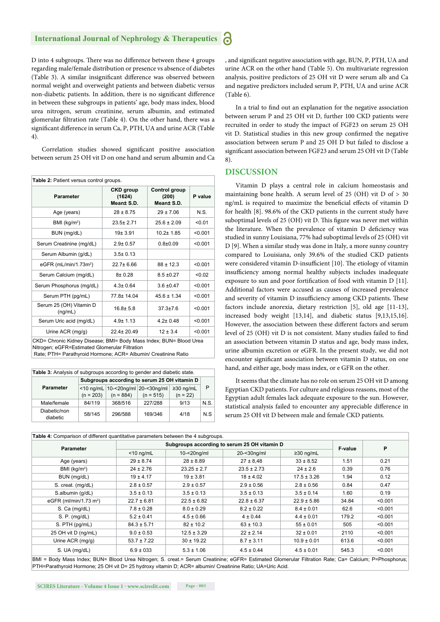#### **International Journal of Nephrology & Therapeutics** 6

D into 4 subgroups. There was no difference between these 4 groups regarding male/female distribution or presence vs absence of diabetes (Table 3). A similar insignificant difference was observed between normal weight and overweight patients and between diabetic versus non-diabetic patients. In addition, there is no significant difference in between these subgroups in patients' age, body mass index, blood urea nitrogen, serum creatinine, serum albumin, and estimated glomerular filtration rate (Table 4). On the other hand, there was a significant difference in serum Ca, P, PTH, UA and urine ACR (Table 4).

Correlation studies showed significant positive association between serum 25 OH vit D on one hand and serum albumin and Ca

| <b>Table 2: Patient versus control groups.</b> |                                          |                                      |         |  |  |
|------------------------------------------------|------------------------------------------|--------------------------------------|---------|--|--|
| <b>Parameter</b>                               | <b>CKD</b> group<br>(1624)<br>Mean± S.D. | Control group<br>(200)<br>Meant S.D. | P value |  |  |
| Age (years)                                    | $28 \pm 8.75$                            | $29 \pm 7.06$                        | $N$ S   |  |  |
| BMI (kg/m <sup>2</sup> )                       | $23.5 + 2.71$                            | $25.6 \pm 2.09$                      | < 0.01  |  |  |
| BUN (mg/dL)                                    | $19 + 3.91$                              | $10.2 + 1.85$                        | < 0.001 |  |  |
| Serum Creatinine (mg/dL)                       | $2.9 \pm 0.57$                           | $0.8 + 0.09$                         | < 0.001 |  |  |
| Serum Albumin (g/dL)                           | $3.5 \pm 0.13$                           |                                      |         |  |  |
| eGFR ( $mL/min/1.73m2$ )                       | $22.7 + 6.66$                            | $88 \pm 12.3$                        | < 0.001 |  |  |
| Serum Calcium (mg/dL)                          | $8 + 0.28$                               | $8.5 \pm 0.27$                       | < 0.02  |  |  |
| Serum Phosphorus (mg/dL)                       | $4.3 \pm 0.64$                           | $36 + 047$                           | < 0.001 |  |  |
| Serum PTH (pg/mL)                              | 77.8±14.04                               | $45.6 \pm 1.34$                      | < 0.001 |  |  |
| Serum 25 (OH) Vitamin D<br>(ng/mL)             | $16.8 \pm 5.8$                           | $37.3 \pm 7.6$                       | < 0.001 |  |  |
| Serum Uric acid (mg/dL)                        | $4.9 \pm 1.13$                           | $4.2 \pm 0.48$                       | < 0.001 |  |  |
| Urine ACR (mg/g)                               | $22.4 \pm 20.49$                         | $12 \pm 3.4$                         | < 0.001 |  |  |

CKD= Chronic Kidney Disease; BMI= Body Mass Index; BUN= Blood Urea Nitrogen; eGFR=Estimated Glomerular Filtration

Rate; PTH= Parathyroid Hormone; ACR= Albumin/ Creatinine Ratio

| Table 3: Analysis of subgroups according to gender and diabetic state. |             |             |                                                    |                 |      |
|------------------------------------------------------------------------|-------------|-------------|----------------------------------------------------|-----------------|------|
|                                                                        |             |             | Subgroups according to serum 25 OH vitamin D       |                 |      |
| <b>Parameter</b>                                                       |             |             | $\le$ 10 ng/mL 10- $\le$ 20ng/ml 20- $\le$ 30ng/ml | $\geq$ 30 ng/mL | P    |
|                                                                        | $(n = 203)$ | $(n = 884)$ | $(n = 515)$                                        | $(n = 22)$      |      |
| Male/female                                                            | 84/119      | 368/516     | 227/288                                            | 9/13            | N.S. |
| Diabetic/non<br>diabetic                                               | 58/145      | 296/588     | 169/346                                            | 4/18            | N.S  |

, and significant negative association with age, BUN, P, PTH, UA and urine ACR on the other hand (Table 5). On multivariate regression analysis, positive predictors of 25 OH vit D were serum alb and Ca and negative predictors included serum P, PTH, UA and urine ACR (Table 6).

In a trial to find out an explanation for the negative association between serum P and 25 OH vit D, further 100 CKD patients were recruited in order to study the impact of FGF23 on serum 25 OH vit D. Statistical studies in this new group confirmed the negative association between serum P and 25 OH D but failed to disclose a significant association between FGF23 and serum 25 OH vit D (Table 8).

## **DISCUSSION**

Vitamin D plays a central role in calcium homeostasis and maintaining bone health. A serum level of  $25$  (OH) vit D of  $> 30$ ng/mL is required to maximize the beneficial effects of vitamin D for health [8]. 98.6% of the CKD patients in the current study have suboptimal levels of 25 (OH) vit D. This figure was never met within the literature. When the prevalence of vitamin D deficiency was studied in sunny Louisiana, 77% had suboptimal levels of 25 (OH) vit D [9]. When a similar study was done in Italy, a more sunny country compared to Louisiana, only 39.6% of the studied CKD patients were considered vitamin D-insufficient [10]. The etiology of vitamin insufficiency among normal healthy subjects includes inadequate exposure to sun and poor fortification of food with vitamin D [11]. Additional factors were accused as causes of increased prevalence and severity of vitamin D insufficiency among CKD patients. These factors include anorexia, dietary restriction [5], old age [11-13], increased body weight [13,14], and diabetic status [9,13,15,16]. However, the association between these different factors and serum level of 25 (OH) vit D is not consistent. Many studies failed to find an association between vitamin D status and age, body mass index, urine albumin excretion or eGFR. In the present study, we did not encounter significant association between vitamin D status, on one hand, and either age, body mass index, or e GFR on the other.

It seems that the climate has no role on serum 25 OH vit D among Egyptian CKD patients. For culture and religious reasons, most of the Egyptian adult females lack adequate exposure to the sun. However, statistical analysis failed to encounter any appreciable difference in serum 25 OH vit D between male and female CKD patients.

| Table 4: Comparison of different quantitative parameters between the 4 subgroups.                                                                    |                 |                 |                                              |                 |         |         |
|------------------------------------------------------------------------------------------------------------------------------------------------------|-----------------|-----------------|----------------------------------------------|-----------------|---------|---------|
|                                                                                                                                                      |                 |                 | Subgroups according to serum 25 OH vitamin D |                 |         |         |
| <b>Parameter</b>                                                                                                                                     | $<$ 10 ng/mL    | $10 - 20$ ng/ml | 20-<30ng/ml                                  | $\geq$ 30 ng/mL | F-value | P       |
| Age (years)                                                                                                                                          | $29 \pm 8.74$   | $28 \pm 8.89$   | $27 \pm 8,48$                                | $33 \pm 8.52$   | 1.51    | 0.21    |
| BMI (kg/m <sup>2</sup> )                                                                                                                             | $24 \pm 2.76$   | $23.25 \pm 2.7$ | $23.5 \pm 2.73$                              | $24 \pm 2.6$    | 0.39    | 0.76    |
| BUN (mg/dL)                                                                                                                                          | $19 \pm 4.17$   | $19 \pm 3.81$   | $18 \pm 4.02$                                | $17.5 \pm 3.26$ | 1.94    | 0.12    |
| S. creat. (mg/dL)                                                                                                                                    | $2.8 \pm 0.57$  | $2.9 \pm 0.57$  | $2.9 \pm 0.56$                               | $2.8 \pm 0.56$  | 0.84    | 0.47    |
| S.albumin (g/dL)                                                                                                                                     | $3.5 \pm 0.13$  | $3.5 \pm 0.13$  | $3.5 \pm 0.13$                               | $3.5 \pm 0.14$  | 1.60    | 0.19    |
| eGFR (ml/min/1.73 m <sup>2</sup> )                                                                                                                   | $22.7 \pm 6.81$ | $22.5 \pm 6.82$ | $22.8 \pm 6.37$                              | $22.9 \pm 5.86$ | 34.84   | < 0.001 |
| S. Ca (mg/dL)                                                                                                                                        | $7.8 \pm 0.28$  | $8.0 \pm 0.29$  | $8.2 \pm 0.22$                               | $8.4 \pm 0.01$  | 62.6    | < 0.001 |
| S. P. (mg/dL)                                                                                                                                        | $5.2 \pm 0.41$  | $4.5 \pm 0.66$  | $4 \pm 0.44$                                 | $4.4 \pm 0.01$  | 179.2   | < 0.001 |
| S. PTH (pq/mL)                                                                                                                                       | $84.3 \pm 5.71$ | $82 \pm 10.2$   | $63 \pm 10.3$                                | $55 \pm 0.01$   | 505     | < 0.001 |
| 25 OH vit D (ng/mL)                                                                                                                                  | $9.0 \pm 0.53$  | $12.5 \pm 3.29$ | $22 \pm 2.14$                                | $32 \pm 0.01$   | 2110    | < 0.001 |
| Urine ACR (mg/g)                                                                                                                                     | $53.7 \pm 7.22$ | $30 \pm 19.22$  | $8.7 \pm 3.11$                               | $10.9 \pm 0.01$ | 613.6   | < 0.001 |
| S. UA (mg/dL)                                                                                                                                        | $6.9 \pm 0.33$  | $5.3 \pm 1.06$  | $4.5 \pm 0.44$                               | $4.5 \pm 0.01$  | 545.3   | < 0.001 |
| BMI = Body Mass Index; BUN= Blood Urea Nitrogen; S. creat.= Serum Creatinine; eGFR= Estimated Glomerular Filtration Rate; Ca= Calcium; P=Phosphorus; |                 |                 |                                              |                 |         |         |

PTH=Parathyroid Hormone; 25 OH vit D= 25 hydroxy vitamin D; ACR= albumin/ Creatinine Ratio; UA=Uric Acid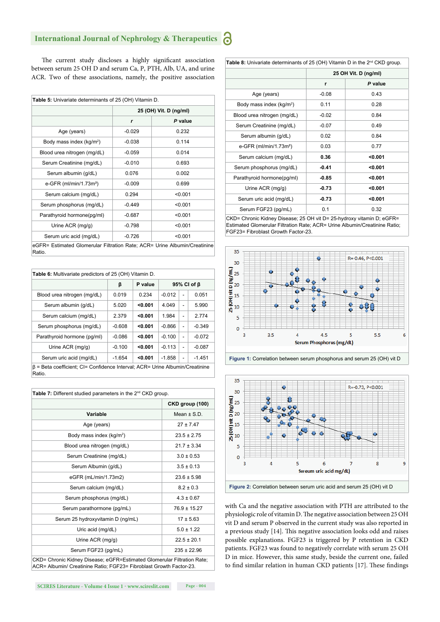#### **International Journal of Nephrology & Therapeutics** 6

The current study discloses a highly significant association between serum 25 OH D and serum Ca, P, PTH, Alb, UA, and urine ACR. Two of these associations, namely, the positive association

|                                      | 25 (OH) Vit. D (ng/ml) |         |  |
|--------------------------------------|------------------------|---------|--|
|                                      | r                      | P value |  |
| Age (years)                          | $-0.029$               | 0.232   |  |
| Body mass index (kg/m <sup>2</sup> ) | $-0.038$               | 0.114   |  |
| Blood urea nitrogen (mg/dL)          | $-0.059$               | 0.014   |  |
| Serum Creatinine (mg/dL)             | $-0.010$               | 0.693   |  |
| Serum albumin (g/dL)                 | 0.076                  | 0.002   |  |
| e-GFR $(mI/min/1.73m2)$              | $-0.009$               | 0.699   |  |
| Serum calcium (mg/dL)                | 0.294                  | < 0.001 |  |
| Serum phosphorus (mg/dL)             | $-0.449$               | < 0.001 |  |
| Parathyroid hormone(pg/ml)           | $-0.687$               | < 0.001 |  |
| Urine ACR (mg/g)                     | $-0.798$               | < 0.001 |  |
| Serum uric acid (mg/dL)              | $-0.726$               | < 0.001 |  |

| <b>Table 6:</b> Multivariate predictors of 25 (OH) Vitamin D.                                |          |         |                   |                |          |
|----------------------------------------------------------------------------------------------|----------|---------|-------------------|----------------|----------|
|                                                                                              | β        | P value | 95% CI of $\beta$ |                |          |
| Blood urea nitrogen (mg/dL)                                                                  | 0.019    | 0.234   | $-0.012$          | ٠              | 0.051    |
| Serum albumin (q/dL)                                                                         | 5.020    | < 0.001 | 4.049             | $\overline{a}$ | 5.990    |
| Serum calcium (mg/dL)                                                                        | 2.379    | < 0.001 | 1.984             | -              | 2.774    |
| Serum phosphorus (mg/dL)                                                                     | $-0.608$ | < 0.001 | $-0.866$          | $\overline{a}$ | $-0.349$ |
| Parathyroid hormone (pq/ml)                                                                  | $-0.086$ | < 0.001 | $-0.100$          | $\overline{a}$ | $-0.072$ |
| Urine ACR (mg/g)                                                                             | $-0.100$ | < 0.001 | $-0.113$          | $\overline{a}$ | $-0.087$ |
| Serum uric acid (mg/dL)                                                                      | $-1.654$ | < 0.001 | $-1.858$          | $\overline{a}$ | $-1.451$ |
| $\beta$ = Beta coefficient; CI= Confidence Interval; ACR= Urine Albumin/Creatinine<br>Ratio. |          |         |                   |                |          |

| Table 7: Different studied parameters in the 2 <sup>nd</sup> CKD group.                                                                            |                  |
|----------------------------------------------------------------------------------------------------------------------------------------------------|------------------|
|                                                                                                                                                    | CKD group (100)  |
| Variable                                                                                                                                           | Mean $\pm$ S.D.  |
| Age (years)                                                                                                                                        | $27 \pm 7.47$    |
| Body mass index (kg/m <sup>2</sup> )                                                                                                               | $23.5 \pm 2.75$  |
| Blood urea nitrogen (mg/dL)                                                                                                                        | $21.7 \pm 3.34$  |
| Serum Creatinine (mg/dL)                                                                                                                           | $3.0 \pm 0.53$   |
| Serum Albumin (g/dL)                                                                                                                               | $3.5 \pm 0.13$   |
| eGFR (mL/min/1.73m2)                                                                                                                               | $23.6 \pm 5.98$  |
| Serum calcium (mg/dL)                                                                                                                              | $8.2 \pm 0.3$    |
| Serum phosphorus (mg/dL)                                                                                                                           | $4.3 \pm 0.67$   |
| Serum parathormone (pg/mL)                                                                                                                         | $76.9 \pm 15.27$ |
| Serum 25 hydroxyvitamin D (ng/mL)                                                                                                                  | $17 + 5.63$      |
| Uric acid (mg/dL)                                                                                                                                  | $5.0 \pm 1.22$   |
| Urine $ACR$ (mg/g)                                                                                                                                 | $22.5 \pm 20.1$  |
| Serum FGF23 (pg/mL)                                                                                                                                | $235 \pm 22.96$  |
| CKD= Chronic Kidney Disease; eGFR=Estimated Glomerular Filtration Rate;<br>AOD - Albumia I Oscatista - Datis : FOF00 - Fibroblast Oscutb Faster 00 |                  |

ACR= Albumin/ Creatinine Ratio; FGF23= Fibroblast Growth Factor-23.

| Table 8: Univariate determinants of 25 (OH) Vitamin D in the 2 <sup>nd</sup> CKD group. |                      |         |  |  |
|-----------------------------------------------------------------------------------------|----------------------|---------|--|--|
|                                                                                         | 25 OH Vit. D (ng/ml) |         |  |  |
|                                                                                         | r                    | P value |  |  |
| Age (years)                                                                             | $-0.08$              | 0.43    |  |  |
| Body mass index $(kg/m2)$                                                               | 0.11                 | 0.28    |  |  |
| Blood urea nitrogen (mg/dL)                                                             | $-0.02$              | 0.84    |  |  |
| Serum Creatinine (mg/dL)                                                                | $-0.07$              | 0.49    |  |  |
| Serum albumin (g/dL)                                                                    | 0.02                 | 0.84    |  |  |
| e-GFR (ml/min/1.73m <sup>2</sup> )                                                      | 0.03                 | 0.77    |  |  |
| Serum calcium (mg/dL)                                                                   | 0.36                 | < 0.001 |  |  |
| Serum phosphorus (mg/dL)                                                                | $-0.41$              | < 0.001 |  |  |
| Parathyroid hormone(pg/ml)                                                              | $-0.85$              | < 0.001 |  |  |
| Urine ACR $(mg/g)$                                                                      | $-0.73$              | < 0.001 |  |  |
| Serum uric acid (mg/dL)                                                                 | $-0.73$              | < 0.001 |  |  |
| Serum FGF23 (pg/mL)                                                                     | 0.1                  | 0.32    |  |  |

CKD= Chronic Kidney Disease; 25 OH vit D= 25-hydroxy vitamin D; eGFR= Estimated Glomerular Filtration Rate; ACR= Urine Albumin/Creatinine Ratio; FGF23= Fibroblast Growth Factor-23.





with Ca and the negative association with PTH are attributed to the physiologic role of vitamin D. The negative association between 25 OH vit D and serum P observed in the current study was also reported in a previous study [14]. This negative association looks odd and raises possible explanations. FGF23 is triggered by P retention in CKD patients. FGF23 was found to negatively correlate with serum 25 OH D in mice. However, this same study, beside the current one, failed to find similar relation in human CKD patients [17]. These findings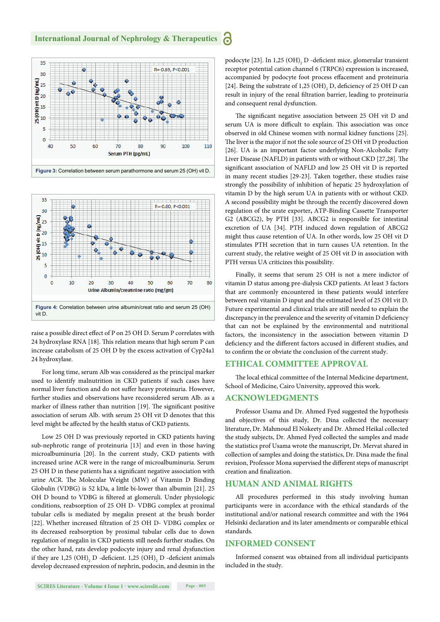



raise a possible direct effect of P on 25 OH D. Serum P correlates with 24 hydroxylase RNA [18]. This relation means that high serum P can increase catabolism of 25 OH D by the excess activation of Cyp24a1 24 hydroxylase.

For long time, serum Alb was considered as the principal marker used to identify malnutrition in CKD patients if such cases have normal liver function and do not suffer heavy proteinuria. However, further studies and observations have reconsidered serum Alb. as a marker of illness rather than nutrition [19]. The significant positive association of serum Alb. with serum 25 OH vit D denotes that this level might be affected by the health status of CKD patients.

Low 25 OH D was previously reported in CKD patients having sub-nephrotic range of proteinuria [13] and even in those having microalbuminuria [20]. In the current study, CKD patients with increased urine ACR were in the range of microalbuminuria. Serum 25 OH D in these patients has a significant negative association with urine ACR. The Molecular Weight (MW) of Vitamin D Binding Globulin (VDBG) is 52 kDa, a little bi-lower than albumin [21]. 25 OH D bound to VDBG is filtered at glomeruli. Under physiologic conditions, reabsorption of 25 OH D- VDBG complex at proximal tubular cells is mediated by megalin present at the brush border [22]. Whether increased filtration of 25 OH D- VDBG complex or its decreased reabsorption by proximal tubular cells due to down regulation of megalin in CKD patients still needs further studies. On the other hand, rats develop podocyte injury and renal dysfunction if they are 1,25  $\rm (OH)_2$  D -deficient. 1,25  $\rm (OH)_2$  D -deficient animals develop decreased expression of nephrin, podocin, and desmin in the

podocyte [23]. In 1,25  $(OH)_{2}$  D -deficient mice, glomerular transient receptor potential cation channel 6 (TRPC6) expression is increased, accompanied by podocyte foot process effacement and proteinuria [24]. Being the substrate of 1,25  $(OH)_{2}$  D, deficiency of 25 OH D can result in injury of the renal filtration barrier, leading to proteinuria and consequent renal dysfunction.

The significant negative association between 25 OH vit D and serum UA is more difficult to explain. This association was once observed in old Chinese women with normal kidney functions [25]. The liver is the major if not the sole source of 25 OH vit D production [26]. UA is an important factor underlying Non-Alcoholic Fatty Liver Disease (NAFLD) in patients with or without CKD [27,28]. The significant association of NAFLD and low 25 OH vit D is reported in many recent studies [29-23]. Taken together, these studies raise strongly the possibility of inhibition of hepatic 25 hydroxylation of vitamin D by the high serum UA in patients with or without CKD. A second possibility might be through the recently discovered down regulation of the urate exporter**,** ATP-Binding Cassette Transporter G2 (ABCG2), by PTH [33]. ABCG2 is responsible for intestinal excretion of UA [34]. PTH induced down regulation of ABCG2 might thus cause retention of UA. In other words, low 25 OH vit D stimulates PTH secretion that in turn causes UA retention. In the current study, the relative weight of 25 OH vit D in association with PTH versus UA criticizes this possibility.

Finally, it seems that serum 25 OH is not a mere indictor of vitamin D status among pre-dialysis CKD patients. At least 3 factors that are commonly encountered in these patients would interfere between real vitamin D input and the estimated level of 25 OH vit D. Future experimental and clinical trials are still needed to explain the discrepancy in the prevalence and the severity of vitamin D deficiency that can not be explained by the environmental and nutritional factors, the inconsistency in the association between vitamin D deficiency and the different factors accused in different studies, and to confirm the or obviate the conclusion of the current study.

## **ETHICAL COMMITTEE APPROVAL**

The local ethical committee of the Internal Medicine department, School of Medicine, Cairo University, approved this work.

## **ACKNOWLEDGMENTS**

Professor Usama and Dr. Ahmed Fyed suggested the hypothesis and objectives of this study, Dr. Dina collected the necessary literature, Dr. Mahmoud El Nokeety and Dr. Ahmed Heikal collected the study subjects, Dr. Ahmed Fyed collected the samples and made the statistics prof Usama wrote the manuscript, Dr. Mervat shared in collection of samples and doing the statistics, Dr. Dina made the final revision, Professor Mona supervised the different steps of manuscript creation and finalization.

## **HUMAN AND ANIMAL RIGHTS**

All procedures performed in this study involving human participants were in accordance with the ethical standards of the institutional and/or national research committee and with the 1964 Helsinki declaration and its later amendments or comparable ethical standards.

## **INFORMED CONSENT**

Informed consent was obtained from all individual participants included in the study.